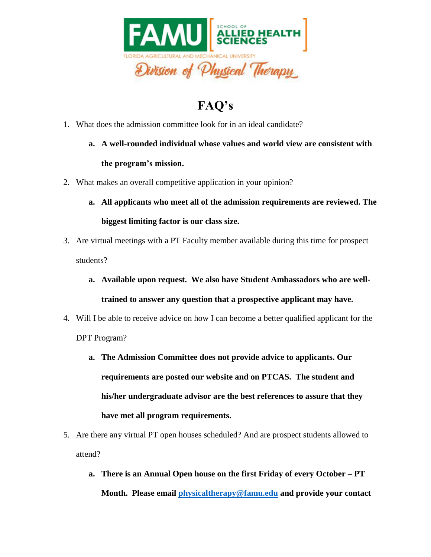

## **FAQ's**

- 1. What does the admission committee look for in an ideal candidate?
	- **a. A well-rounded individual whose values and world view are consistent with the program's mission.**
- 2. What makes an overall competitive application in your opinion?
	- **a. All applicants who meet all of the admission requirements are reviewed. The biggest limiting factor is our class size.**
- 3. Are virtual meetings with a PT Faculty member available during this time for prospect students?
	- **a. Available upon request. We also have Student Ambassadors who are welltrained to answer any question that a prospective applicant may have.**
- 4. Will I be able to receive advice on how I can become a better qualified applicant for the DPT Program?
	- **a. The Admission Committee does not provide advice to applicants. Our requirements are posted our website and on PTCAS. The student and his/her undergraduate advisor are the best references to assure that they have met all program requirements.**
- 5. Are there any virtual PT open houses scheduled? And are prospect students allowed to attend?
	- **a. There is an Annual Open house on the first Friday of every October – PT Month. Please email [physicaltherapy@famu.edu](mailto:physicaltherapy@famu.edu) and provide your contact**